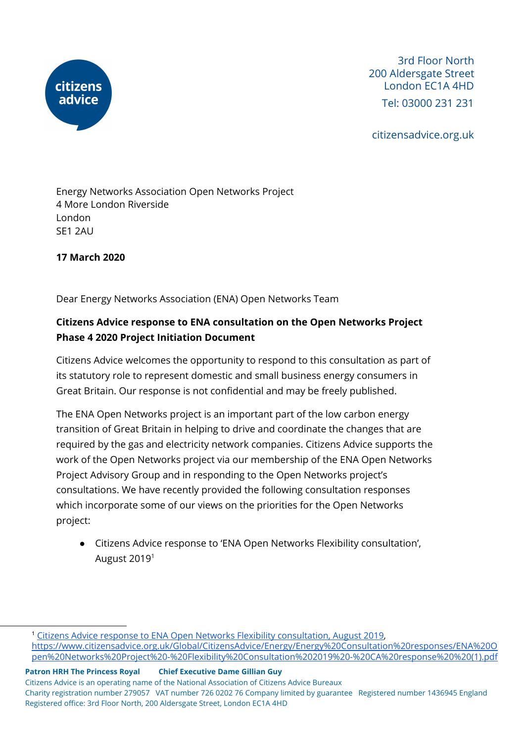

3rd Floor North 200 Aldersgate Street London EC1A 4HD Tel: 03000 231 231

citizensadvice.org.uk

Energy Networks Association Open Networks Project 4 More London Riverside London SE1 2AU

**17 March 2020**

Dear Energy Networks Association (ENA) Open Networks Team

## **Citizens Advice response to ENA consultation on the Open Networks Project Phase 4 2020 Project Initiation Document**

Citizens Advice welcomes the opportunity to respond to this consultation as part of its statutory role to represent domestic and small business energy consumers in Great Britain. Our response is not confidential and may be freely published.

The ENA Open Networks project is an important part of the low carbon energy transition of Great Britain in helping to drive and coordinate the changes that are required by the gas and electricity network companies. Citizens Advice supports the work of the Open Networks project via our membership of the ENA Open Networks Project Advisory Group and in responding to the Open Networks project's consultations. We have recently provided the following consultation responses which incorporate some of our views on the priorities for the Open Networks project:

● Citizens Advice response to 'ENA Open Networks Flexibility consultation', August 2019 $^1$ 

**Patron HRH The Princess Royal Chief Executive Dame Gillian Guy**

Citizens Advice is an operating name of the National Association of Citizens Advice Bureaux

<sup>1</sup> Citizens Advice response to ENA Open Networks Flexibility [consultation,](https://www.citizensadvice.org.uk/Global/CitizensAdvice/Energy/Energy%20Consultation%20responses/ENA%20Open%20Networks%20Project%20-%20Flexibility%20Consultation%202019%20-%20CA%20response%20%20(1).pdf) August 2019, [https://www.citizensadvice.org.uk/Global/CitizensAdvice/Energy/Energy%20Consultation%20responses/ENA%20O](https://www.citizensadvice.org.uk/Global/CitizensAdvice/Energy/Energy%20Consultation%20responses/ENA%20Open%20Networks%20Project%20-%20Flexibility%20Consultation%202019%20-%20CA%20response%20%20(1).pdf) [pen%20Networks%20Project%20-%20Flexibility%20Consultation%202019%20-%20CA%20response%20%20\(1\).pdf](https://www.citizensadvice.org.uk/Global/CitizensAdvice/Energy/Energy%20Consultation%20responses/ENA%20Open%20Networks%20Project%20-%20Flexibility%20Consultation%202019%20-%20CA%20response%20%20(1).pdf)

Charity registration number 279057 VAT number 726 0202 76 Company limited by guarantee Registered number 1436945 England Registered office: 3rd Floor North, 200 Aldersgate Street, London EC1A 4HD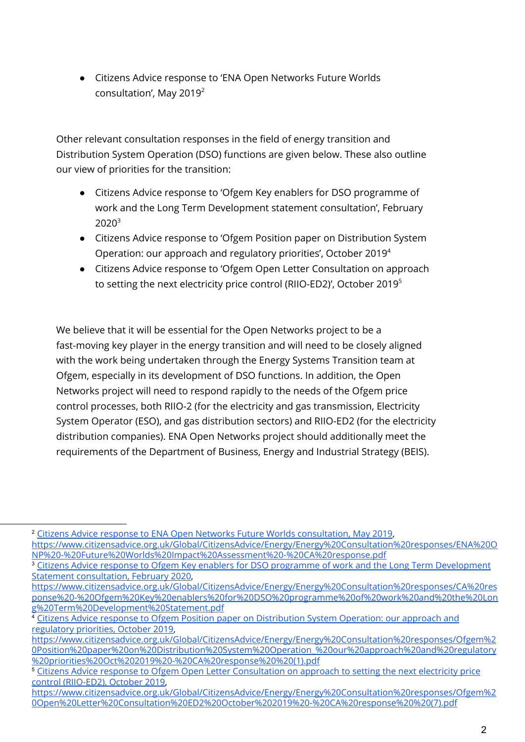● Citizens Advice response to 'ENA Open Networks Future Worlds consultation', May 2019 $2$ 

Other relevant consultation responses in the field of energy transition and Distribution System Operation (DSO) functions are given below. These also outline our view of priorities for the transition:

- Citizens Advice response to 'Ofgem Key enablers for DSO programme of work and the Long Term Development statement consultation', February 2020 3
- Citizens Advice response to 'Ofgem Position paper on Distribution System Operation: our approach and regulatory priorities', October 2019<sup>4</sup>
- Citizens Advice response to 'Ofgem Open Letter Consultation on approach to setting the next electricity price control (RIIO-ED2)', October 2019 5

We believe that it will be essential for the Open Networks project to be a fast-moving key player in the energy transition and will need to be closely aligned with the work being undertaken through the Energy Systems Transition team at Ofgem, especially in its development of DSO functions. In addition, the Open Networks project will need to respond rapidly to the needs of the Ofgem price control processes, both RIIO-2 (for the electricity and gas transmission, Electricity System Operator (ESO), and gas distribution sectors) and RIIO-ED2 (for the electricity distribution companies). ENA Open Networks project should additionally meet the requirements of the Department of Business, Energy and Industrial Strategy (BEIS).

<sup>2</sup> Citizens Advice response to ENA Open Networks Future Worlds [consultation,](https://www.citizensadvice.org.uk/Global/CitizensAdvice/Energy/Energy%20Consultation%20responses/ENA%20ONP%20-%20Future%20Worlds%20Impact%20Assessment%20-%20CA%20response.pdf) May 2019,

[https://www.citizensadvice.org.uk/Global/CitizensAdvice/Energy/Energy%20Consultation%20responses/ENA%20O](https://www.citizensadvice.org.uk/Global/CitizensAdvice/Energy/Energy%20Consultation%20responses/ENA%20ONP%20-%20Future%20Worlds%20Impact%20Assessment%20-%20CA%20response.pdf) [NP%20-%20Future%20Worlds%20Impact%20Assessment%20-%20CA%20response.pdf](https://www.citizensadvice.org.uk/Global/CitizensAdvice/Energy/Energy%20Consultation%20responses/ENA%20ONP%20-%20Future%20Worlds%20Impact%20Assessment%20-%20CA%20response.pdf)

Citizens Advice response to Ofgem Key enablers for DSO programme of work and the Long Term [Development](https://www.citizensadvice.org.uk/Global/CitizensAdvice/Energy/Energy%20Consultation%20responses/CA%20response%20-%20Ofgem%20Key%20enablers%20for%20DSO%20programme%20of%20work%20and%20the%20Long%20Term%20Development%20Statement.pdf) Statement [consultation,](https://www.citizensadvice.org.uk/Global/CitizensAdvice/Energy/Energy%20Consultation%20responses/CA%20response%20-%20Ofgem%20Key%20enablers%20for%20DSO%20programme%20of%20work%20and%20the%20Long%20Term%20Development%20Statement.pdf) February 2020,

[https://www.citizensadvice.org.uk/Global/CitizensAdvice/Energy/Energy%20Consultation%20responses/CA%20res](https://www.citizensadvice.org.uk/Global/CitizensAdvice/Energy/Energy%20Consultation%20responses/CA%20response%20-%20Ofgem%20Key%20enablers%20for%20DSO%20programme%20of%20work%20and%20the%20Long%20Term%20Development%20Statement.pdf) [ponse%20-%20Ofgem%20Key%20enablers%20for%20DSO%20programme%20of%20work%20and%20the%20Lon](https://www.citizensadvice.org.uk/Global/CitizensAdvice/Energy/Energy%20Consultation%20responses/CA%20response%20-%20Ofgem%20Key%20enablers%20for%20DSO%20programme%20of%20work%20and%20the%20Long%20Term%20Development%20Statement.pdf) [g%20Term%20Development%20Statement.pdf](https://www.citizensadvice.org.uk/Global/CitizensAdvice/Energy/Energy%20Consultation%20responses/CA%20response%20-%20Ofgem%20Key%20enablers%20for%20DSO%20programme%20of%20work%20and%20the%20Long%20Term%20Development%20Statement.pdf)

<sup>4</sup> Citizens Advice response to Ofgem Position paper on [Distribution](https://www.citizensadvice.org.uk/Global/CitizensAdvice/Energy/Energy%20Consultation%20responses/Ofgem%20Position%20paper%20on%20Distribution%20System%20Operation_%20our%20approach%20and%20regulatory%20priorities%20Oct%202019%20-%20CA%20response%20%20(1).pdf) System Operation: our approach and [regulatory](https://www.citizensadvice.org.uk/Global/CitizensAdvice/Energy/Energy%20Consultation%20responses/Ofgem%20Position%20paper%20on%20Distribution%20System%20Operation_%20our%20approach%20and%20regulatory%20priorities%20Oct%202019%20-%20CA%20response%20%20(1).pdf) priorities, October 2019,

[https://www.citizensadvice.org.uk/Global/CitizensAdvice/Energy/Energy%20Consultation%20responses/Ofgem%2](https://www.citizensadvice.org.uk/Global/CitizensAdvice/Energy/Energy%20Consultation%20responses/Ofgem%20Position%20paper%20on%20Distribution%20System%20Operation_%20our%20approach%20and%20regulatory%20priorities%20Oct%202019%20-%20CA%20response%20%20(1).pdf) [0Position%20paper%20on%20Distribution%20System%20Operation\\_%20our%20approach%20and%20regulatory](https://www.citizensadvice.org.uk/Global/CitizensAdvice/Energy/Energy%20Consultation%20responses/Ofgem%20Position%20paper%20on%20Distribution%20System%20Operation_%20our%20approach%20and%20regulatory%20priorities%20Oct%202019%20-%20CA%20response%20%20(1).pdf) [%20priorities%20Oct%202019%20-%20CA%20response%20%20\(1\).pdf](https://www.citizensadvice.org.uk/Global/CitizensAdvice/Energy/Energy%20Consultation%20responses/Ofgem%20Position%20paper%20on%20Distribution%20System%20Operation_%20our%20approach%20and%20regulatory%20priorities%20Oct%202019%20-%20CA%20response%20%20(1).pdf)

<sup>5</sup> Citizens Advice response to Ofgem Open Letter [Consultation](https://www.citizensadvice.org.uk/Global/CitizensAdvice/Energy/Energy%20Consultation%20responses/Ofgem%20Open%20Letter%20Consultation%20ED2%20October%202019%20-%20CA%20response%20%20(7).pdf) on approach to setting the next electricity price control [\(RIIO-ED2\),](https://www.citizensadvice.org.uk/Global/CitizensAdvice/Energy/Energy%20Consultation%20responses/Ofgem%20Open%20Letter%20Consultation%20ED2%20October%202019%20-%20CA%20response%20%20(7).pdf) October 2019,

[https://www.citizensadvice.org.uk/Global/CitizensAdvice/Energy/Energy%20Consultation%20responses/Ofgem%2](https://www.citizensadvice.org.uk/Global/CitizensAdvice/Energy/Energy%20Consultation%20responses/Ofgem%20Open%20Letter%20Consultation%20ED2%20October%202019%20-%20CA%20response%20%20(7).pdf) [0Open%20Letter%20Consultation%20ED2%20October%202019%20-%20CA%20response%20%20\(7\).pdf](https://www.citizensadvice.org.uk/Global/CitizensAdvice/Energy/Energy%20Consultation%20responses/Ofgem%20Open%20Letter%20Consultation%20ED2%20October%202019%20-%20CA%20response%20%20(7).pdf)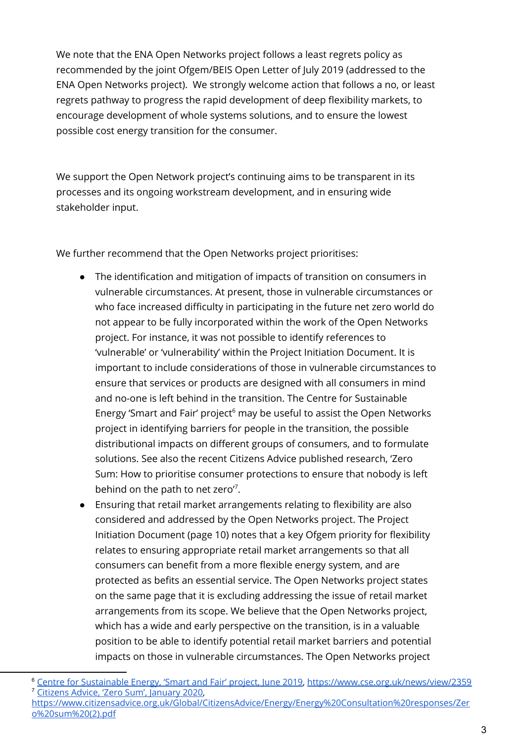We note that the ENA Open Networks project follows a least regrets policy as recommended by the joint Ofgem/BEIS Open Letter of July 2019 (addressed to the ENA Open Networks project). We strongly welcome action that follows a no, or least regrets pathway to progress the rapid development of deep flexibility markets, to encourage development of whole systems solutions, and to ensure the lowest possible cost energy transition for the consumer.

We support the Open Network project's continuing aims to be transparent in its processes and its ongoing workstream development, and in ensuring wide stakeholder input.

We further recommend that the Open Networks project prioritises:

- The identification and mitigation of impacts of transition on consumers in vulnerable circumstances. At present, those in vulnerable circumstances or who face increased difficulty in participating in the future net zero world do not appear to be fully incorporated within the work of the Open Networks project. For instance, it was not possible to identify references to 'vulnerable' or 'vulnerability' within the Project Initiation Document. It is important to include considerations of those in vulnerable circumstances to ensure that services or products are designed with all consumers in mind and no-one is left behind in the transition. The Centre for Sustainable Energy 'Smart and Fair' project<sup>6</sup> may be useful to assist the Open Networks project in identifying barriers for people in the transition, the possible distributional impacts on different groups of consumers, and to formulate solutions. See also the recent Citizens Advice published research, 'Zero Sum: How to prioritise consumer protections to ensure that nobody is left behind on the path to net zero".
- Ensuring that retail market arrangements relating to flexibility are also considered and addressed by the Open Networks project. The Project Initiation Document (page 10) notes that a key Ofgem priority for flexibility relates to ensuring appropriate retail market arrangements so that all consumers can benefit from a more flexible energy system, and are protected as befits an essential service. The Open Networks project states on the same page that it is excluding addressing the issue of retail market arrangements from its scope. We believe that the Open Networks project, which has a wide and early perspective on the transition, is in a valuable position to be able to identify potential retail market barriers and potential impacts on those in vulnerable circumstances. The Open Networks project

<sup>6</sup> Centre for [Sustainable](https://www.cse.org.uk/news/view/2359) Energy, 'Smart and Fair' project, June 2019, <https://www.cse.org.uk/news/view/2359> <sup>7</sup> [Citizens](https://www.citizensadvice.org.uk/Global/CitizensAdvice/Energy/Energy%20Consultation%20responses/Zero%20sum%20(2).pdf) Advice, 'Zero Sum', January 2020,

[https://www.citizensadvice.org.uk/Global/CitizensAdvice/Energy/Energy%20Consultation%20responses/Zer](https://www.citizensadvice.org.uk/Global/CitizensAdvice/Energy/Energy%20Consultation%20responses/Zero%20sum%20(2).pdf) [o%20sum%20\(2\).pdf](https://www.citizensadvice.org.uk/Global/CitizensAdvice/Energy/Energy%20Consultation%20responses/Zero%20sum%20(2).pdf)